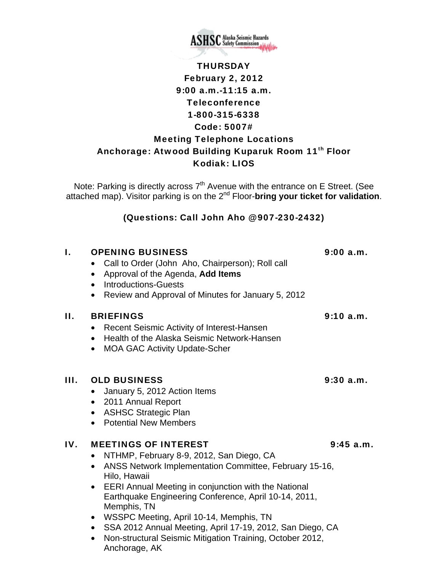

# **THURSDAY** February 2, 2012 9:00 a.m.-11:15 a.m. Teleconference 1-800-315-6338 Code: 5007# Meeting Telephone Locations Anchorage: Atwood Building Kuparuk Room 11<sup>th</sup> Floor Kodiak: LIOS

Note: Parking is directly across  $7<sup>th</sup>$  Avenue with the entrance on E Street. (See attached map). Visitor parking is on the 2nd Floor-**bring your ticket for validation**.

### (Questions: Call John Aho @ 907-230-2432)

# I. OPENING BUSINESS 9:00 a.m. • Call to Order (John Aho, Chairperson); Roll call • Approval of the Agenda, **Add Items** • Introductions-Guests • Review and Approval of Minutes for January 5, 2012 II. BRIEFINGS 9:10 a.m. • Recent Seismic Activity of Interest-Hansen • Health of the Alaska Seismic Network-Hansen • MOA GAC Activity Update-Scher III. OLD BUSINESS 9:30 a.m. • January 5, 2012 Action Items • 2011 Annual Report • ASHSC Strategic Plan • Potential New Members IV. MEETINGS OF INTEREST 9:45 a.m. • NTHMP, February 8-9, 2012, San Diego, CA • ANSS Network Implementation Committee, February 15-16, Hilo, Hawaii • EERI Annual Meeting in conjunction with the National Earthquake Engineering Conference, April 10-14, 2011, Memphis, TN • WSSPC Meeting, April 10-14, Memphis, TN • SSA 2012 Annual Meeting, April 17-19, 2012, San Diego, CA

• Non-structural Seismic Mitigation Training, October 2012, Anchorage, AK